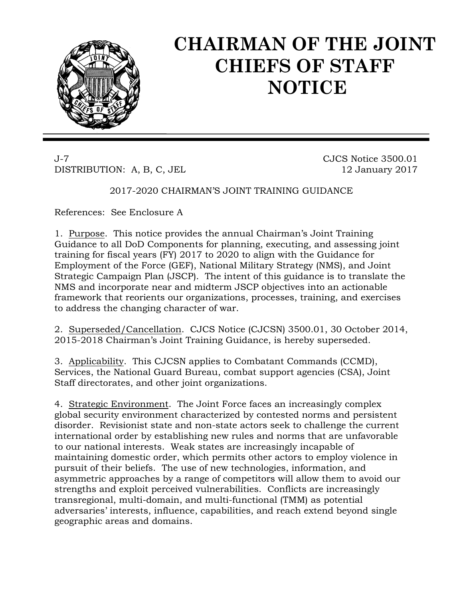

## **CHAIRMAN OF THE JOINT CHIEFS OF STAFF NOTICE**

J-7 CJCS Notice 3500.01 DISTRIBUTION: A, B, C, JEL 12 January 2017

2017-2020 CHAIRMAN'S JOINT TRAINING GUIDANCE

References: See Enclosure A

1. Purpose. This notice provides the annual Chairman's Joint Training Guidance to all DoD Components for planning, executing, and assessing joint training for fiscal years (FY) 2017 to 2020 to align with the Guidance for Employment of the Force (GEF), National Military Strategy (NMS), and Joint Strategic Campaign Plan (JSCP). The intent of this guidance is to translate the NMS and incorporate near and midterm JSCP objectives into an actionable framework that reorients our organizations, processes, training, and exercises to address the changing character of war.

2. Superseded/Cancellation. CJCS Notice (CJCSN) 3500.01, 30 October 2014, 2015-2018 Chairman's Joint Training Guidance, is hereby superseded.

3. Applicability. This CJCSN applies to Combatant Commands (CCMD), Services, the National Guard Bureau, combat support agencies (CSA), Joint Staff directorates, and other joint organizations.

4. Strategic Environment. The Joint Force faces an increasingly complex global security environment characterized by contested norms and persistent disorder. Revisionist state and non-state actors seek to challenge the current international order by establishing new rules and norms that are unfavorable to our national interests. Weak states are increasingly incapable of maintaining domestic order, which permits other actors to employ violence in pursuit of their beliefs. The use of new technologies, information, and asymmetric approaches by a range of competitors will allow them to avoid our strengths and exploit perceived vulnerabilities. Conflicts are increasingly transregional, multi-domain, and multi-functional (TMM) as potential adversaries' interests, influence, capabilities, and reach extend beyond single geographic areas and domains.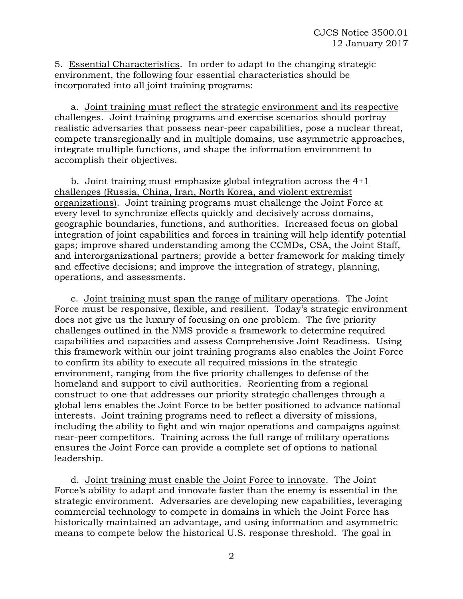5. Essential Characteristics. In order to adapt to the changing strategic environment, the following four essential characteristics should be incorporated into all joint training programs:

a. Joint training must reflect the strategic environment and its respective challenges. Joint training programs and exercise scenarios should portray realistic adversaries that possess near-peer capabilities, pose a nuclear threat, compete transregionally and in multiple domains, use asymmetric approaches, integrate multiple functions, and shape the information environment to accomplish their objectives.

b. Joint training must emphasize global integration across the 4+1 challenges (Russia, China, Iran, North Korea, and violent extremist organizations). Joint training programs must challenge the Joint Force at every level to synchronize effects quickly and decisively across domains, geographic boundaries, functions, and authorities. Increased focus on global integration of joint capabilities and forces in training will help identify potential gaps; improve shared understanding among the CCMDs, CSA, the Joint Staff, and interorganizational partners; provide a better framework for making timely and effective decisions; and improve the integration of strategy, planning, operations, and assessments.

c. Joint training must span the range of military operations. The Joint Force must be responsive, flexible, and resilient. Today's strategic environment does not give us the luxury of focusing on one problem. The five priority challenges outlined in the NMS provide a framework to determine required capabilities and capacities and assess Comprehensive Joint Readiness. Using this framework within our joint training programs also enables the Joint Force to confirm its ability to execute all required missions in the strategic environment, ranging from the five priority challenges to defense of the homeland and support to civil authorities. Reorienting from a regional construct to one that addresses our priority strategic challenges through a global lens enables the Joint Force to be better positioned to advance national interests. Joint training programs need to reflect a diversity of missions, including the ability to fight and win major operations and campaigns against near-peer competitors. Training across the full range of military operations ensures the Joint Force can provide a complete set of options to national leadership.

d. Joint training must enable the Joint Force to innovate. The Joint Force's ability to adapt and innovate faster than the enemy is essential in the strategic environment. Adversaries are developing new capabilities, leveraging commercial technology to compete in domains in which the Joint Force has historically maintained an advantage, and using information and asymmetric means to compete below the historical U.S. response threshold. The goal in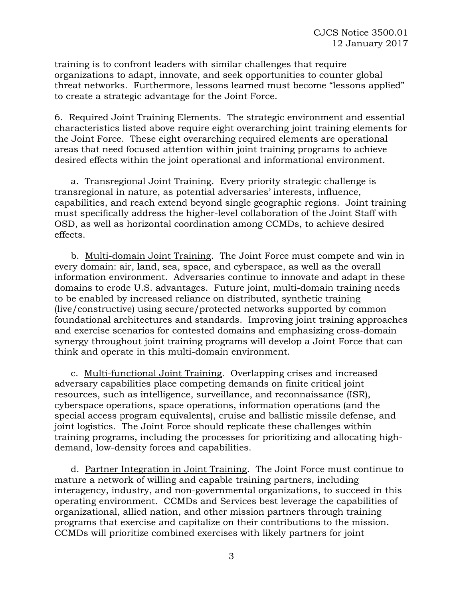training is to confront leaders with similar challenges that require organizations to adapt, innovate, and seek opportunities to counter global threat networks. Furthermore, lessons learned must become "lessons applied" to create a strategic advantage for the Joint Force.

6. Required Joint Training Elements. The strategic environment and essential characteristics listed above require eight overarching joint training elements for the Joint Force. These eight overarching required elements are operational areas that need focused attention within joint training programs to achieve desired effects within the joint operational and informational environment.

a. Transregional Joint Training. Every priority strategic challenge is transregional in nature, as potential adversaries' interests, influence, capabilities, and reach extend beyond single geographic regions. Joint training must specifically address the higher-level collaboration of the Joint Staff with OSD, as well as horizontal coordination among CCMDs, to achieve desired effects.

b. Multi-domain Joint Training. The Joint Force must compete and win in every domain: air, land, sea, space, and cyberspace, as well as the overall information environment. Adversaries continue to innovate and adapt in these domains to erode U.S. advantages. Future joint, multi-domain training needs to be enabled by increased reliance on distributed, synthetic training (live/constructive) using secure/protected networks supported by common foundational architectures and standards. Improving joint training approaches and exercise scenarios for contested domains and emphasizing cross-domain synergy throughout joint training programs will develop a Joint Force that can think and operate in this multi-domain environment.

c. Multi-functional Joint Training. Overlapping crises and increased adversary capabilities place competing demands on finite critical joint resources, such as intelligence, surveillance, and reconnaissance (ISR), cyberspace operations, space operations, information operations (and the special access program equivalents), cruise and ballistic missile defense, and joint logistics. The Joint Force should replicate these challenges within training programs, including the processes for prioritizing and allocating highdemand, low-density forces and capabilities.

d. Partner Integration in Joint Training. The Joint Force must continue to mature a network of willing and capable training partners, including interagency, industry, and non-governmental organizations, to succeed in this operating environment. CCMDs and Services best leverage the capabilities of organizational, allied nation, and other mission partners through training programs that exercise and capitalize on their contributions to the mission. CCMDs will prioritize combined exercises with likely partners for joint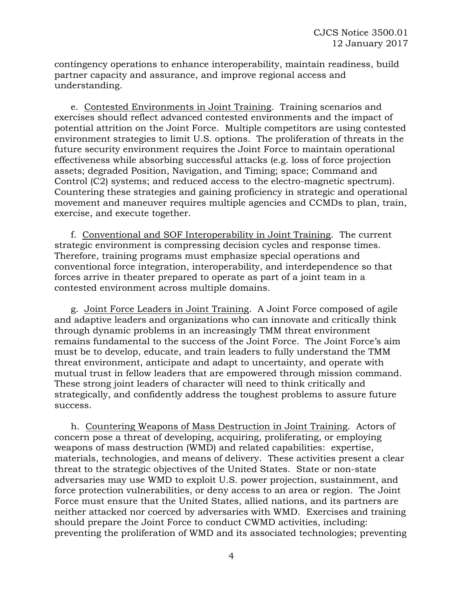contingency operations to enhance interoperability, maintain readiness, build partner capacity and assurance, and improve regional access and understanding.

e. Contested Environments in Joint Training. Training scenarios and exercises should reflect advanced contested environments and the impact of potential attrition on the Joint Force. Multiple competitors are using contested environment strategies to limit U.S. options. The proliferation of threats in the future security environment requires the Joint Force to maintain operational effectiveness while absorbing successful attacks (e.g. loss of force projection assets; degraded Position, Navigation, and Timing; space; Command and Control (C2) systems; and reduced access to the electro-magnetic spectrum). Countering these strategies and gaining proficiency in strategic and operational movement and maneuver requires multiple agencies and CCMDs to plan, train, exercise, and execute together.

f. Conventional and SOF Interoperability in Joint Training. The current strategic environment is compressing decision cycles and response times. Therefore, training programs must emphasize special operations and conventional force integration, interoperability, and interdependence so that forces arrive in theater prepared to operate as part of a joint team in a contested environment across multiple domains.

g. Joint Force Leaders in Joint Training. A Joint Force composed of agile and adaptive leaders and organizations who can innovate and critically think through dynamic problems in an increasingly TMM threat environment remains fundamental to the success of the Joint Force. The Joint Force's aim must be to develop, educate, and train leaders to fully understand the TMM threat environment, anticipate and adapt to uncertainty, and operate with mutual trust in fellow leaders that are empowered through mission command. These strong joint leaders of character will need to think critically and strategically, and confidently address the toughest problems to assure future success.

h. Countering Weapons of Mass Destruction in Joint Training. Actors of concern pose a threat of developing, acquiring, proliferating, or employing weapons of mass destruction (WMD) and related capabilities: expertise, materials, technologies, and means of delivery. These activities present a clear threat to the strategic objectives of the United States. State or non-state adversaries may use WMD to exploit U.S. power projection, sustainment, and force protection vulnerabilities, or deny access to an area or region. The Joint Force must ensure that the United States, allied nations, and its partners are neither attacked nor coerced by adversaries with WMD. Exercises and training should prepare the Joint Force to conduct CWMD activities, including: preventing the proliferation of WMD and its associated technologies; preventing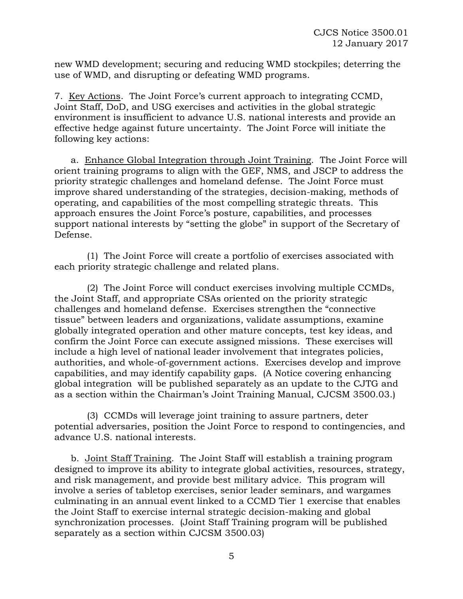new WMD development; securing and reducing WMD stockpiles; deterring the use of WMD, and disrupting or defeating WMD programs.

7. Key Actions. The Joint Force's current approach to integrating CCMD, Joint Staff, DoD, and USG exercises and activities in the global strategic environment is insufficient to advance U.S. national interests and provide an effective hedge against future uncertainty. The Joint Force will initiate the following key actions:

a. Enhance Global Integration through Joint Training. The Joint Force will orient training programs to align with the GEF, NMS, and JSCP to address the priority strategic challenges and homeland defense. The Joint Force must improve shared understanding of the strategies, decision-making, methods of operating, and capabilities of the most compelling strategic threats. This approach ensures the Joint Force's posture, capabilities, and processes support national interests by "setting the globe" in support of the Secretary of Defense.

(1) The Joint Force will create a portfolio of exercises associated with each priority strategic challenge and related plans.

(2) The Joint Force will conduct exercises involving multiple CCMDs, the Joint Staff, and appropriate CSAs oriented on the priority strategic challenges and homeland defense. Exercises strengthen the "connective tissue" between leaders and organizations, validate assumptions, examine globally integrated operation and other mature concepts, test key ideas, and confirm the Joint Force can execute assigned missions. These exercises will include a high level of national leader involvement that integrates policies, authorities, and whole-of-government actions. Exercises develop and improve capabilities, and may identify capability gaps. (A Notice covering enhancing global integration will be published separately as an update to the CJTG and as a section within the Chairman's Joint Training Manual, CJCSM 3500.03.)

(3) CCMDs will leverage joint training to assure partners, deter potential adversaries, position the Joint Force to respond to contingencies, and advance U.S. national interests.

b. Joint Staff Training. The Joint Staff will establish a training program designed to improve its ability to integrate global activities, resources, strategy, and risk management, and provide best military advice. This program will involve a series of tabletop exercises, senior leader seminars, and wargames culminating in an annual event linked to a CCMD Tier 1 exercise that enables the Joint Staff to exercise internal strategic decision-making and global synchronization processes. (Joint Staff Training program will be published separately as a section within CJCSM 3500.03)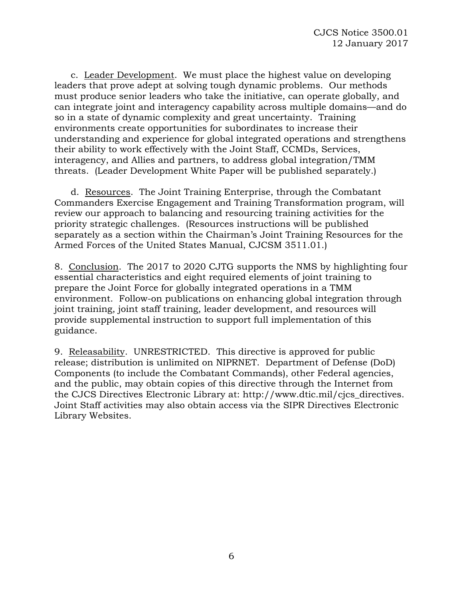c. Leader Development. We must place the highest value on developing leaders that prove adept at solving tough dynamic problems. Our methods must produce senior leaders who take the initiative, can operate globally, and can integrate joint and interagency capability across multiple domains—and do so in a state of dynamic complexity and great uncertainty. Training environments create opportunities for subordinates to increase their understanding and experience for global integrated operations and strengthens their ability to work effectively with the Joint Staff, CCMDs, Services, interagency, and Allies and partners, to address global integration/TMM threats. (Leader Development White Paper will be published separately.)

d. Resources. The Joint Training Enterprise, through the Combatant Commanders Exercise Engagement and Training Transformation program, will review our approach to balancing and resourcing training activities for the priority strategic challenges. (Resources instructions will be published separately as a section within the Chairman's Joint Training Resources for the Armed Forces of the United States Manual, CJCSM 3511.01.)

8. Conclusion. The 2017 to 2020 CJTG supports the NMS by highlighting four essential characteristics and eight required elements of joint training to prepare the Joint Force for globally integrated operations in a TMM environment. Follow-on publications on enhancing global integration through joint training, joint staff training, leader development, and resources will provide supplemental instruction to support full implementation of this guidance.

9. Releasability. UNRESTRICTED. This directive is approved for public release; distribution is unlimited on NIPRNET. Department of Defense (DoD) Components (to include the Combatant Commands), other Federal agencies, and the public, may obtain copies of this directive through the Internet from the CJCS Directives Electronic Library at: http://www.dtic.mil/cjcs\_directives. Joint Staff activities may also obtain access via the SIPR Directives Electronic Library Websites.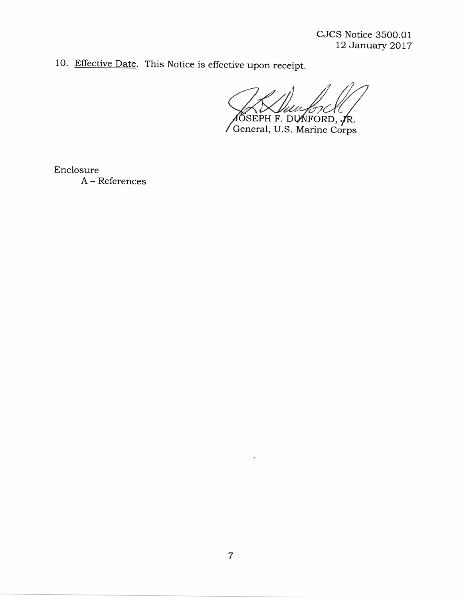**CJCS Notice 3500.01** 12 January 2017

10. Effective Date. This Notice is effective upon receipt.

 $111$ SSEPH F. DUNFORD, JR.<br>General, U.S. Marine Corps

Enclosure

 $\lambda$ 

A - References

 $\bar{a}$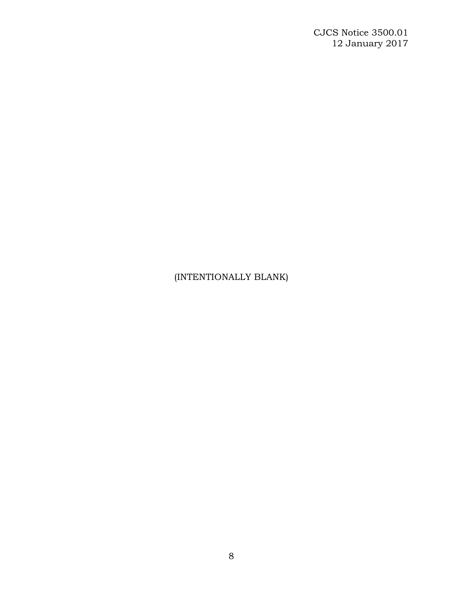## (INTENTIONALLY BLANK)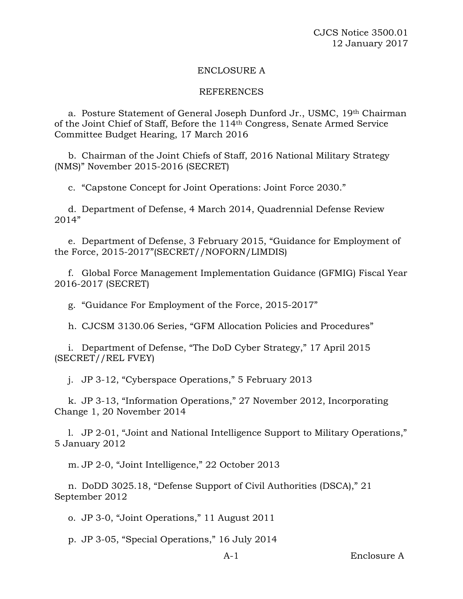## ENCLOSURE A

## REFERENCES

a. Posture Statement of General Joseph Dunford Jr., USMC, 19th Chairman of the Joint Chief of Staff, Before the 114th Congress, Senate Armed Service Committee Budget Hearing, 17 March 2016

b. Chairman of the Joint Chiefs of Staff, 2016 National Military Strategy (NMS)" November 2015-2016 (SECRET)

c. "Capstone Concept for Joint Operations: Joint Force 2030."

d. Department of Defense, 4 March 2014, Quadrennial Defense Review 2014"

e. Department of Defense, 3 February 2015, "Guidance for Employment of the Force, 2015-2017"(SECRET//NOFORN/LIMDIS)

f. Global Force Management Implementation Guidance (GFMIG) Fiscal Year 2016-2017 (SECRET)

g. "Guidance For Employment of the Force, 2015-2017"

h. CJCSM 3130.06 Series, "GFM Allocation Policies and Procedures"

i. Department of Defense, "The DoD Cyber Strategy," 17 April 2015 (SECRET//REL FVEY)

j. JP 3-12, "Cyberspace Operations," 5 February 2013

k. JP 3-13, "Information Operations," 27 November 2012, Incorporating Change 1, 20 November 2014

l. JP 2-01, "Joint and National Intelligence Support to Military Operations," 5 January 2012

m. JP 2-0, "Joint Intelligence," 22 October 2013

n. DoDD 3025.18, "Defense Support of Civil Authorities (DSCA)," 21 September 2012

o. JP 3-0, "Joint Operations," 11 August 2011

p. JP 3-05, "Special Operations," 16 July 2014